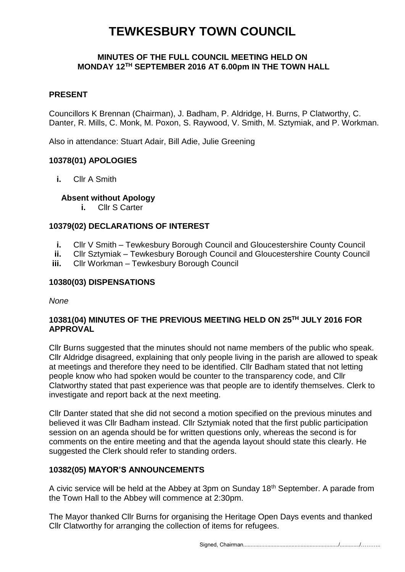# **TEWKESBURY TOWN COUNCIL**

#### **MINUTES OF THE FULL COUNCIL MEETING HELD ON MONDAY 12TH SEPTEMBER 2016 AT 6.00pm IN THE TOWN HALL**

## **PRESENT**

Councillors K Brennan (Chairman), J. Badham, P. Aldridge, H. Burns, P Clatworthy, C. Danter, R. Mills, C. Monk, M. Poxon, S. Raywood, V. Smith, M. Sztymiak, and P. Workman.

Also in attendance: Stuart Adair, Bill Adie, Julie Greening

## **10378(01) APOLOGIES**

**i.** Cllr A Smith

#### **Absent without Apology**

**i.** Cllr S Carter

## **10379(02) DECLARATIONS OF INTEREST**

- **i.** Cllr V Smith Tewkesbury Borough Council and Gloucestershire County Council
- **ii.** Cllr Sztymiak Tewkesbury Borough Council and Gloucestershire County Council
- **iii.** Cllr Workman Tewkesbury Borough Council

#### **10380(03) DISPENSATIONS**

*None*

## **10381(04) MINUTES OF THE PREVIOUS MEETING HELD ON 25TH JULY 2016 FOR APPROVAL**

Cllr Burns suggested that the minutes should not name members of the public who speak. Cllr Aldridge disagreed, explaining that only people living in the parish are allowed to speak at meetings and therefore they need to be identified. Cllr Badham stated that not letting people know who had spoken would be counter to the transparency code, and Cllr Clatworthy stated that past experience was that people are to identify themselves. Clerk to investigate and report back at the next meeting.

Cllr Danter stated that she did not second a motion specified on the previous minutes and believed it was Cllr Badham instead. Cllr Sztymiak noted that the first public participation session on an agenda should be for written questions only, whereas the second is for comments on the entire meeting and that the agenda layout should state this clearly. He suggested the Clerk should refer to standing orders.

#### **10382(05) MAYOR'S ANNOUNCEMENTS**

A civic service will be held at the Abbey at 3pm on Sunday 18<sup>th</sup> September. A parade from the Town Hall to the Abbey will commence at 2:30pm.

The Mayor thanked Cllr Burns for organising the Heritage Open Days events and thanked Cllr Clatworthy for arranging the collection of items for refugees.

Signed, Chairman.............................................................../............./………..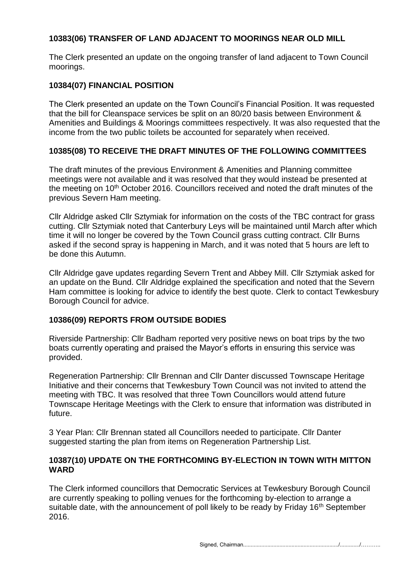# **10383(06) TRANSFER OF LAND ADJACENT TO MOORINGS NEAR OLD MILL**

The Clerk presented an update on the ongoing transfer of land adjacent to Town Council moorings.

## **10384(07) FINANCIAL POSITION**

The Clerk presented an update on the Town Council's Financial Position. It was requested that the bill for Cleanspace services be split on an 80/20 basis between Environment & Amenities and Buildings & Moorings committees respectively. It was also requested that the income from the two public toilets be accounted for separately when received.

# **10385(08) TO RECEIVE THE DRAFT MINUTES OF THE FOLLOWING COMMITTEES**

The draft minutes of the previous Environment & Amenities and Planning committee meetings were not available and it was resolved that they would instead be presented at the meeting on 10<sup>th</sup> October 2016. Councillors received and noted the draft minutes of the previous Severn Ham meeting.

Cllr Aldridge asked Cllr Sztymiak for information on the costs of the TBC contract for grass cutting. Cllr Sztymiak noted that Canterbury Leys will be maintained until March after which time it will no longer be covered by the Town Council grass cutting contract. Cllr Burns asked if the second spray is happening in March, and it was noted that 5 hours are left to be done this Autumn.

Cllr Aldridge gave updates regarding Severn Trent and Abbey Mill. Cllr Sztymiak asked for an update on the Bund. Cllr Aldridge explained the specification and noted that the Severn Ham committee is looking for advice to identify the best quote. Clerk to contact Tewkesbury Borough Council for advice.

# **10386(09) REPORTS FROM OUTSIDE BODIES**

Riverside Partnership: Cllr Badham reported very positive news on boat trips by the two boats currently operating and praised the Mayor's efforts in ensuring this service was provided.

Regeneration Partnership: Cllr Brennan and Cllr Danter discussed Townscape Heritage Initiative and their concerns that Tewkesbury Town Council was not invited to attend the meeting with TBC. It was resolved that three Town Councillors would attend future Townscape Heritage Meetings with the Clerk to ensure that information was distributed in future.

3 Year Plan: Cllr Brennan stated all Councillors needed to participate. Cllr Danter suggested starting the plan from items on Regeneration Partnership List.

#### **10387(10) UPDATE ON THE FORTHCOMING BY-ELECTION IN TOWN WITH MITTON WARD**

The Clerk informed councillors that Democratic Services at Tewkesbury Borough Council are currently speaking to polling venues for the forthcoming by-election to arrange a suitable date, with the announcement of poll likely to be ready by Friday 16<sup>th</sup> September 2016.

Signed, Chairman.............................................................../............./………..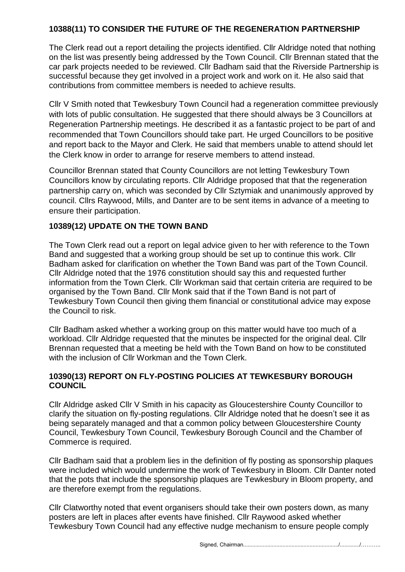## **10388(11) TO CONSIDER THE FUTURE OF THE REGENERATION PARTNERSHIP**

The Clerk read out a report detailing the projects identified. Cllr Aldridge noted that nothing on the list was presently being addressed by the Town Council. Cllr Brennan stated that the car park projects needed to be reviewed. Cllr Badham said that the Riverside Partnership is successful because they get involved in a project work and work on it. He also said that contributions from committee members is needed to achieve results.

Cllr V Smith noted that Tewkesbury Town Council had a regeneration committee previously with lots of public consultation. He suggested that there should always be 3 Councillors at Regeneration Partnership meetings. He described it as a fantastic project to be part of and recommended that Town Councillors should take part. He urged Councillors to be positive and report back to the Mayor and Clerk. He said that members unable to attend should let the Clerk know in order to arrange for reserve members to attend instead.

Councillor Brennan stated that County Councillors are not letting Tewkesbury Town Councillors know by circulating reports. Cllr Aldridge proposed that that the regeneration partnership carry on, which was seconded by Cllr Sztymiak and unanimously approved by council. Cllrs Raywood, Mills, and Danter are to be sent items in advance of a meeting to ensure their participation.

# **10389(12) UPDATE ON THE TOWN BAND**

The Town Clerk read out a report on legal advice given to her with reference to the Town Band and suggested that a working group should be set up to continue this work. Cllr Badham asked for clarification on whether the Town Band was part of the Town Council. Cllr Aldridge noted that the 1976 constitution should say this and requested further information from the Town Clerk. Cllr Workman said that certain criteria are required to be organised by the Town Band. Cllr Monk said that if the Town Band is not part of Tewkesbury Town Council then giving them financial or constitutional advice may expose the Council to risk.

Cllr Badham asked whether a working group on this matter would have too much of a workload. Cllr Aldridge requested that the minutes be inspected for the original deal. Cllr Brennan requested that a meeting be held with the Town Band on how to be constituted with the inclusion of Cllr Workman and the Town Clerk.

## **10390(13) REPORT ON FLY-POSTING POLICIES AT TEWKESBURY BOROUGH COUNCIL**

Cllr Aldridge asked Cllr V Smith in his capacity as Gloucestershire County Councillor to clarify the situation on fly-posting regulations. Cllr Aldridge noted that he doesn't see it as being separately managed and that a common policy between Gloucestershire County Council, Tewkesbury Town Council, Tewkesbury Borough Council and the Chamber of Commerce is required.

Cllr Badham said that a problem lies in the definition of fly posting as sponsorship plaques were included which would undermine the work of Tewkesbury in Bloom. Cllr Danter noted that the pots that include the sponsorship plaques are Tewkesbury in Bloom property, and are therefore exempt from the regulations.

Cllr Clatworthy noted that event organisers should take their own posters down, as many posters are left in places after events have finished. Cllr Raywood asked whether Tewkesbury Town Council had any effective nudge mechanism to ensure people comply

Signed, Chairman.............................................................../............./………..